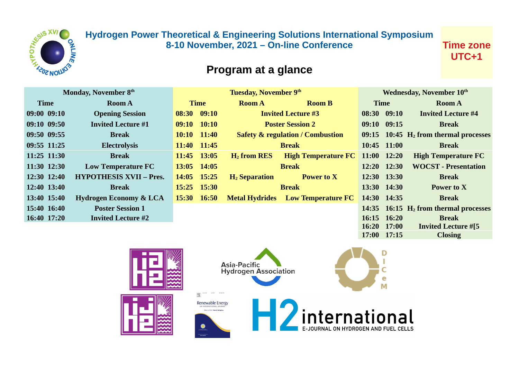

## **Hydrogen Power Theoretical & Engineering Solutions International Symposium 8-10 November, 2021 – On-line Conference**

**Time zone UTC+1**

## **Program at a glance**

| Monday, November 8th |             |                                   | Tuesday, November 9th |                 |                       |                                             | Wednesday, November 10th |                 |                                                     |
|----------------------|-------------|-----------------------------------|-----------------------|-----------------|-----------------------|---------------------------------------------|--------------------------|-----------------|-----------------------------------------------------|
|                      | <b>Time</b> | <b>Room A</b>                     | <b>Time</b>           |                 | <b>Room A</b>         | <b>Room B</b>                               | <b>Time</b>              |                 | <b>Room A</b>                                       |
|                      | 09:00 09:10 | <b>Opening Session</b>            |                       | 08:30 09:10     |                       | <b>Invited Lecture #3</b>                   |                          | 08:30 09:10     | <b>Invited Lecture #4</b>                           |
|                      | 09:10 09:50 | <b>Invited Lecture #1</b>         | 09:10                 | 10:10           |                       | <b>Poster Session 2</b>                     |                          | 09:10 09:15     | <b>Break</b>                                        |
|                      | 09:50 09:55 | <b>Break</b>                      |                       | $10:10$ $11:40$ |                       | <b>Safety &amp; regulation / Combustion</b> |                          |                 | $09:15$ 10:45 $H_2$ from thermal processes          |
|                      | 09:55 11:25 | <b>Electrolysis</b>               |                       | 11:40 11:45     |                       | <b>Break</b>                                |                          | 10:45 11:00     | <b>Break</b>                                        |
|                      | 11:25 11:30 | <b>Break</b>                      |                       | $11:45$ $13:05$ | $H_2$ from RES        | <b>High Temperature FC</b>                  |                          | $11:00$ $12:20$ | <b>High Temperature FC</b>                          |
|                      | 11:30 12:30 | <b>Low Temperature FC</b>         |                       | 13:05 14:05     |                       | <b>Break</b>                                |                          | 12:20 12:30     | <b>WOCST</b> - Presentation                         |
|                      | 12:30 12:40 | <b>HYPOTHESIS XVII - Pres.</b>    | 14:05                 | 15:25           | $H_2$ Separation      | <b>Power to X</b>                           |                          | 12:30 13:30     | <b>Break</b>                                        |
|                      | 12:40 13:40 | <b>Break</b>                      |                       | 15:25 15:30     |                       | <b>Break</b>                                |                          | 13:30 14:30     | Power to X                                          |
|                      | 13:40 15:40 | <b>Hydrogen Economy &amp; LCA</b> | 15:30                 | 16:50           | <b>Metal Hydrides</b> | <b>Low Temperature FC</b>                   |                          | 14:30 14:35     | <b>Break</b>                                        |
|                      | 15:40 16:40 | <b>Poster Session 1</b>           |                       |                 |                       |                                             |                          |                 | 14:35 $16:15$ H <sub>2</sub> from thermal processes |
|                      | 16:40 17:20 | <b>Invited Lecture #2</b>         |                       |                 |                       |                                             |                          | 16:15 16:20     | <b>Break</b>                                        |
|                      |             |                                   |                       |                 |                       |                                             | 16:20                    | 17:00           | <b>Invited Lecture #[5</b>                          |
|                      |             |                                   |                       |                 |                       |                                             |                          | 17:00 17:15     | <b>Closing</b>                                      |



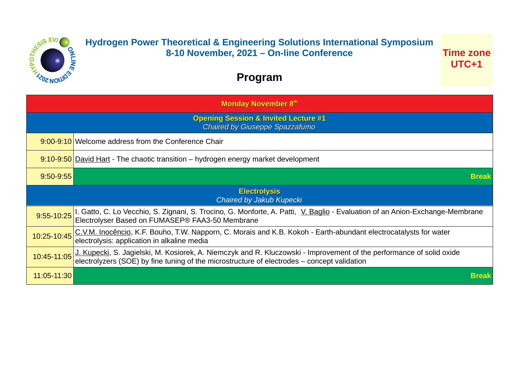

## **Hydrogen Power Theoretical & Engineering Solutions International Symposium 8-10 November, 2021 – On-line Conference**

**Time zone UTC+1**

## **Program**

| <b>Monday November 8th</b> |                                                                                                                                                                                                                     |  |  |  |  |
|----------------------------|---------------------------------------------------------------------------------------------------------------------------------------------------------------------------------------------------------------------|--|--|--|--|
|                            | <b>Opening Session &amp; Invited Lecture #1</b><br><b>Chaired by Giuseppe Spazzafumo</b>                                                                                                                            |  |  |  |  |
|                            | 9:00-9:10 Welcome address from the Conference Chair                                                                                                                                                                 |  |  |  |  |
|                            | 9:10-9:50 David Hart - The chaotic transition – hydrogen energy market development                                                                                                                                  |  |  |  |  |
| $9:50-9:55$                | <b>Break</b>                                                                                                                                                                                                        |  |  |  |  |
|                            | <b>Electrolysis</b><br>Chaired by Jakub Kupecki                                                                                                                                                                     |  |  |  |  |
|                            | 9:55-10:25   I. Gatto, C. Lo Vecchio, S. Zignani, S. Trocino, G. Monforte, A. Patti, V. Baglio - Evaluation of an Anion-Exchange-Membrane<br>Electrolyser Based on FUMASEP® FAA3-50 Membrane                        |  |  |  |  |
| 10:25-10:45                | C.V.M. Inocêncio, K.F. Bouho, T.W. Napporn, C. Morais and K.B. Kokoh - Earth-abundant electrocatalysts for water<br>electrolysis: application in alkaline media                                                     |  |  |  |  |
| 10:45-11:05                | J. Kupecki, S. Jagielski, M. Kosiorek, A. Niemczyk and R. Kluczowski - Improvement of the performance of solid oxide<br>electrolyzers (SOE) by fine tuning of the microstructure of electrodes – concept validation |  |  |  |  |
| 11:05-11:30                | <b>Break</b>                                                                                                                                                                                                        |  |  |  |  |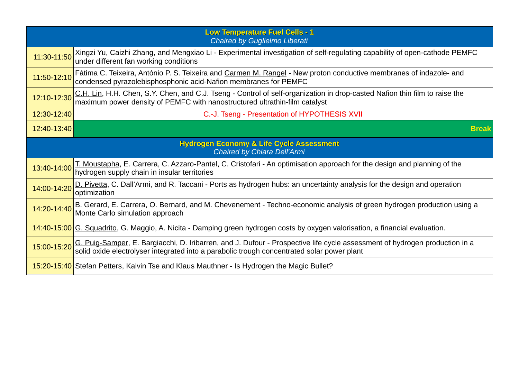| <b>Low Temperature Fuel Cells - 1</b><br>Chaired by Guglielmo Liberati             |                                                                                                                                                                                                                          |  |  |  |
|------------------------------------------------------------------------------------|--------------------------------------------------------------------------------------------------------------------------------------------------------------------------------------------------------------------------|--|--|--|
| 11:30-11:50                                                                        | Xingzi Yu, Caizhi Zhang, and Mengxiao Li - Experimental investigation of self-regulating capability of open-cathode PEMFC<br>under different fan working conditions                                                      |  |  |  |
| 11:50-12:10                                                                        | Fátima C. Teixeira, António P. S. Teixeira and Carmen M. Rangel - New proton conductive membranes of indazole- and<br>condensed pyrazolebisphosphonic acid-Nafion membranes for PEMFC                                    |  |  |  |
| 12:10-12:30                                                                        | C.H. Lin, H.H. Chen, S.Y. Chen, and C.J. Tseng - Control of self-organization in drop-casted Nafion thin film to raise the<br>maximum power density of PEMFC with nanostructured ultrathin-film catalyst                 |  |  |  |
| 12:30-12:40                                                                        | C.-J. Tseng - Presentation of HYPOTHESIS XVII                                                                                                                                                                            |  |  |  |
| 12:40-13:40                                                                        | <b>Break</b>                                                                                                                                                                                                             |  |  |  |
| <b>Hydrogen Economy &amp; Life Cycle Assessment</b><br>Chaired by Chiara Dell'Armi |                                                                                                                                                                                                                          |  |  |  |
| 13:40-14:00                                                                        | T. Moustapha, E. Carrera, C. Azzaro-Pantel, C. Cristofari - An optimisation approach for the design and planning of the<br>hydrogen supply chain in insular territories                                                  |  |  |  |
| 14:00-14:20                                                                        | D. Pivetta, C. Dall'Armi, and R. Taccani - Ports as hydrogen hubs: an uncertainty analysis for the design and operation<br>optimization                                                                                  |  |  |  |
| 14:20-14:40                                                                        | B. Gerard, E. Carrera, O. Bernard, and M. Chevenement - Techno-economic analysis of green hydrogen production using a<br>Monte Carlo simulation approach                                                                 |  |  |  |
|                                                                                    | 14:40-15:00 G. Squadrito, G. Maggio, A. Nicita - Damping green hydrogen costs by oxygen valorisation, a financial evaluation.                                                                                            |  |  |  |
| 15:00-15:20                                                                        | G. Puig-Samper, E. Bargiacchi, D. Iribarren, and J. Dufour - Prospective life cycle assessment of hydrogen production in a<br>solid oxide electrolyser integrated into a parabolic trough concentrated solar power plant |  |  |  |
|                                                                                    | 15:20-15:40 Stefan Petters, Kalvin Tse and Klaus Mauthner - Is Hydrogen the Magic Bullet?                                                                                                                                |  |  |  |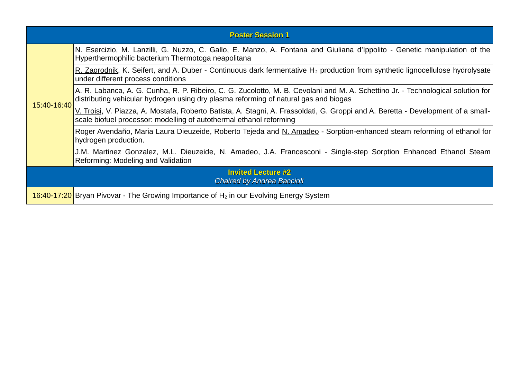|                                                                | <b>Poster Session 1</b>                                                                                                                                                                                                 |  |  |  |
|----------------------------------------------------------------|-------------------------------------------------------------------------------------------------------------------------------------------------------------------------------------------------------------------------|--|--|--|
|                                                                | N. Esercizio, M. Lanzilli, G. Nuzzo, C. Gallo, E. Manzo, A. Fontana and Giuliana d'Ippolito - Genetic manipulation of the<br>Hyperthermophilic bacterium Thermotoga neapolitana                                         |  |  |  |
|                                                                | R. Zagrodnik, K. Seifert, and A. Duber - Continuous dark fermentative $H_2$ production from synthetic lignocellulose hydrolysate<br>under different process conditions                                                  |  |  |  |
| 15:40-16:40                                                    | A. R. Labanca, A. G. Cunha, R. P. Ribeiro, C. G. Zucolotto, M. B. Cevolani and M. A. Schettino Jr. - Technological solution for<br>distributing vehicular hydrogen using dry plasma reforming of natural gas and biogas |  |  |  |
|                                                                | V. Troisi, V. Piazza, A. Mostafa, Roberto Batista, A. Stagni, A. Frassoldati, G. Groppi and A. Beretta - Development of a small-<br>scale biofuel processor: modelling of autothermal ethanol reforming                 |  |  |  |
|                                                                | Roger Avendaño, Maria Laura Dieuzeide, Roberto Tejeda and N. Amadeo - Sorption-enhanced steam reforming of ethanol for<br>hydrogen production.                                                                          |  |  |  |
|                                                                | J.M. Martinez Gonzalez, M.L. Dieuzeide, <u>N. Amadeo,</u> J.A. Francesconi - Single-step Sorption Enhanced Ethanol Steam<br>Reforming: Modeling and Validation                                                          |  |  |  |
| <b>Invited Lecture #2</b><br><b>Chaired by Andrea Baccioli</b> |                                                                                                                                                                                                                         |  |  |  |
|                                                                | 16:40-17:20 Bryan Pivovar - The Growing Importance of $H_2$ in our Evolving Energy System                                                                                                                               |  |  |  |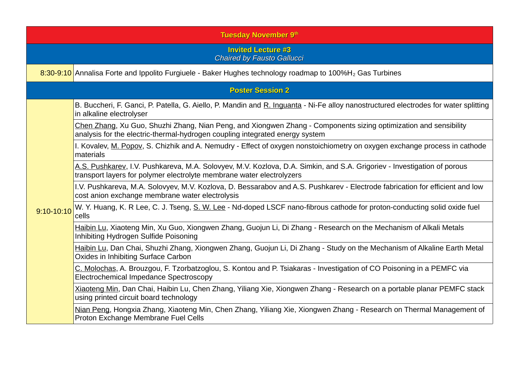|            | <b>Tuesday November 9th</b>                                                                                                                                                                      |  |  |  |  |  |
|------------|--------------------------------------------------------------------------------------------------------------------------------------------------------------------------------------------------|--|--|--|--|--|
|            | <b>Invited Lecture #3</b><br><b>Chaired by Fausto Gallucci</b>                                                                                                                                   |  |  |  |  |  |
|            | 8:30-9:10 Annalisa Forte and Ippolito Furgiuele - Baker Hughes technology roadmap to 100%H <sub>2</sub> Gas Turbines                                                                             |  |  |  |  |  |
|            | <b>Poster Session 2</b>                                                                                                                                                                          |  |  |  |  |  |
|            | B. Buccheri, F. Ganci, P. Patella, G. Aiello, P. Mandin and R. Inguanta - Ni-Fe alloy nanostructured electrodes for water splitting<br>in alkaline electrolyser                                  |  |  |  |  |  |
|            | Chen Zhang, Xu Guo, Shuzhi Zhang, Nian Peng, and Xiongwen Zhang - Components sizing optimization and sensibility<br>analysis for the electric-thermal-hydrogen coupling integrated energy system |  |  |  |  |  |
|            | I. Kovalev, M. Popov, S. Chizhik and A. Nemudry - Effect of oxygen nonstoichiometry on oxygen exchange process in cathode<br>materials                                                           |  |  |  |  |  |
|            | A.S. Pushkarev, I.V. Pushkareva, M.A. Solovyev, M.V. Kozlova, D.A. Simkin, and S.A. Grigoriev - Investigation of porous<br>transport layers for polymer electrolyte membrane water electrolyzers |  |  |  |  |  |
|            | I.V. Pushkareva, M.A. Solovyev, M.V. Kozlova, D. Bessarabov and A.S. Pushkarev - Electrode fabrication for efficient and low<br>cost anion exchange membrane water electrolysis                  |  |  |  |  |  |
| 9:10-10:10 | W. Y. Huang, K. R Lee, C. J. Tseng, S. W. Lee - Nd-doped LSCF nano-fibrous cathode for proton-conducting solid oxide fuel<br>cells                                                               |  |  |  |  |  |
|            | Haibin Lu, Xiaoteng Min, Xu Guo, Xiongwen Zhang, Guojun Li, Di Zhang - Research on the Mechanism of Alkali Metals<br>Inhibiting Hydrogen Sulfide Poisoning                                       |  |  |  |  |  |
|            | Haibin Lu, Dan Chai, Shuzhi Zhang, Xiongwen Zhang, Guojun Li, Di Zhang - Study on the Mechanism of Alkaline Earth Metal<br>Oxides in Inhibiting Surface Carbon                                   |  |  |  |  |  |
|            | C. Molochas, A. Brouzgou, F. Tzorbatzoglou, S. Kontou and P. Tsiakaras - Investigation of CO Poisoning in a PEMFC via<br>Electrochemical Impedance Spectroscopy                                  |  |  |  |  |  |
|            | Xiaoteng Min, Dan Chai, Haibin Lu, Chen Zhang, Yiliang Xie, Xiongwen Zhang - Research on a portable planar PEMFC stack<br>using printed circuit board technology                                 |  |  |  |  |  |
|            | Nian Peng, Hongxia Zhang, Xiaoteng Min, Chen Zhang, Yiliang Xie, Xiongwen Zhang - Research on Thermal Management of<br>Proton Exchange Membrane Fuel Cells                                       |  |  |  |  |  |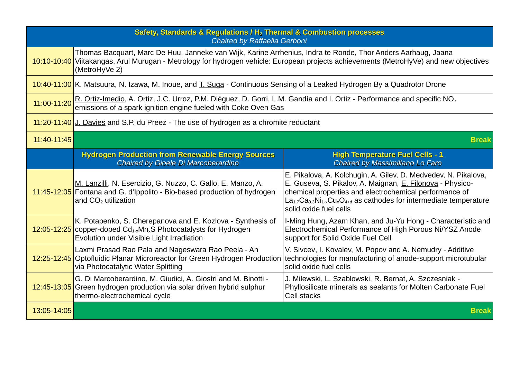| Safety, Standards & Regulations / H <sub>2</sub> Thermal & Combustion processes<br>Chaired by Raffaella Gerboni |                                                                                                                                                                                                                                                                        |                                                                                                                                                                                                                                                                                      |  |  |
|-----------------------------------------------------------------------------------------------------------------|------------------------------------------------------------------------------------------------------------------------------------------------------------------------------------------------------------------------------------------------------------------------|--------------------------------------------------------------------------------------------------------------------------------------------------------------------------------------------------------------------------------------------------------------------------------------|--|--|
|                                                                                                                 | Thomas Bacquart, Marc De Huu, Janneke van Wijk, Karine Arrhenius, Indra te Ronde, Thor Anders Aarhaug, Jaana<br>10:10-10:40 Viitakangas, Arul Murugan - Metrology for hydrogen vehicle: European projects achievements (MetroHyVe) and new objectives<br>(MetroHyVe 2) |                                                                                                                                                                                                                                                                                      |  |  |
|                                                                                                                 | 10:40-11:00 K. Matsuura, N. Izawa, M. Inoue, and T. Suga - Continuous Sensing of a Leaked Hydrogen By a Quadrotor Drone                                                                                                                                                |                                                                                                                                                                                                                                                                                      |  |  |
| 11:00-11:20                                                                                                     | R. Ortiz-Imedio, A. Ortiz, J.C. Urroz, P.M. Diéguez, D. Gorri, L.M. Gandía and I. Ortiz - Performance and specific NO <sub>x</sub><br>emissions of a spark ignition engine fueled with Coke Oven Gas                                                                   |                                                                                                                                                                                                                                                                                      |  |  |
|                                                                                                                 | 11:20-11:40 J. Davies and S.P. du Preez - The use of hydrogen as a chromite reductant                                                                                                                                                                                  |                                                                                                                                                                                                                                                                                      |  |  |
| 11:40-11:45                                                                                                     | <b>Break</b>                                                                                                                                                                                                                                                           |                                                                                                                                                                                                                                                                                      |  |  |
|                                                                                                                 | <b>Hydrogen Production from Renewable Energy Sources</b><br>Chaired by Gioele Di Marcoberardino                                                                                                                                                                        | <b>High Temperature Fuel Cells - 1</b><br>Chaired by Massimiliano Lo Faro                                                                                                                                                                                                            |  |  |
|                                                                                                                 | M. Lanzilli, N. Esercizio, G. Nuzzo, C. Gallo, E. Manzo, A.<br>11:45-12:05 Fontana and G. d'Ippolito - Bio-based production of hydrogen<br>and $CO2$ utilization                                                                                                       | E. Pikalova, A. Kolchugin, A. Gilev, D. Medvedev, N. Pikalova,<br>E. Guseva, S. Pikalov, A. Maignan, E. Filonova - Physico-<br>chemical properties and electrochemical performance of<br>$La1.7Ca0.3Ni1-xCuxO4+d$ as cathodes for intermediate temperature<br>solid oxide fuel cells |  |  |
|                                                                                                                 | K. Potapenko, S. Cherepanova and E. Kozlova - Synthesis of<br>$12:05-12:25$ copper-doped Cd <sub>1-x</sub> Mn <sub>x</sub> S Photocatalysts for Hydrogen<br>Evolution under Visible Light Irradiation                                                                  | I-Ming Hung, Azam Khan, and Ju-Yu Hong - Characteristic and<br>Electrochemical Performance of High Porous Ni/YSZ Anode<br>support for Solid Oxide Fuel Cell                                                                                                                          |  |  |
|                                                                                                                 | Laxmi Prasad Rao Pala and Nageswara Rao Peela - An<br>12:25-12:45 Optofluidic Planar Microreactor for Green Hydrogen Production<br>via Photocatalytic Water Splitting                                                                                                  | V. Sivcev, I. Kovalev, M. Popov and A. Nemudry - Additive<br>technologies for manufacturing of anode-support microtubular<br>solid oxide fuel cells                                                                                                                                  |  |  |
|                                                                                                                 | G. Di Marcoberardino, M. Giudici, A. Giostri and M. Binotti -<br>12:45-13:05 Green hydrogen production via solar driven hybrid sulphur<br>thermo-electrochemical cycle                                                                                                 | J. Milewski, L. Szablowski, R. Bernat, A. Szczesniak -<br>Phyllosilicate minerals as sealants for Molten Carbonate Fuel<br><b>Cell stacks</b>                                                                                                                                        |  |  |
| 13:05-14:05                                                                                                     |                                                                                                                                                                                                                                                                        | <b>Break</b>                                                                                                                                                                                                                                                                         |  |  |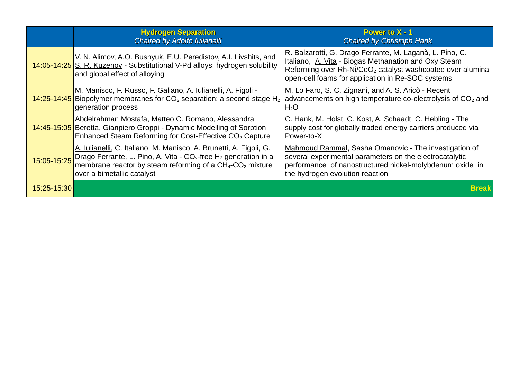|             | <b>Hydrogen Separation</b><br>Chaired by Adolfo Iulianelli                                                                                                                                                                                                                       | <b>Power to X - 1</b><br><b>Chaired by Christoph Hank</b>                                                                                                                                                                                       |
|-------------|----------------------------------------------------------------------------------------------------------------------------------------------------------------------------------------------------------------------------------------------------------------------------------|-------------------------------------------------------------------------------------------------------------------------------------------------------------------------------------------------------------------------------------------------|
|             | V. N. Alimov, A.O. Busnyuk, E.U. Peredistov, A.I. Livshits, and<br>14:05-14:25 S. R. Kuzenov - Substitutional V-Pd alloys: hydrogen solubility<br>and global effect of alloying                                                                                                  | R. Balzarotti, G. Drago Ferrante, M. Laganà, L. Pino, C.<br>Italiano, A. Vita - Biogas Methanation and Oxy Steam<br>Reforming over Rh-Ni/CeO <sub>2</sub> catalyst washcoated over alumina<br>open-cell foams for application in Re-SOC systems |
|             | M. Manisco, F. Russo, F. Galiano, A. Iulianelli, A. Figoli -<br>14:25-14:45 Biopolymer membranes for $CO2$ separation: a second stage H <sub>2</sub><br>generation process                                                                                                       | M. Lo Faro, S. C. Zignani, and A. S. Aricò - Recent<br>advancements on high temperature co-electrolysis of $CO2$ and<br>$H_2O$                                                                                                                  |
|             | Abdelrahman Mostafa, Matteo C. Romano, Alessandra<br>14:45-15:05 Beretta, Gianpiero Groppi - Dynamic Modelling of Sorption<br>Enhanced Steam Reforming for Cost-Effective CO <sub>2</sub> Capture                                                                                | C. Hank, M. Holst, C. Kost, A. Schaadt, C. Hebling - The<br>supply cost for globally traded energy carriers produced via<br>Power-to-X                                                                                                          |
| 15:05-15:25 | A. Iulianelli, C. Italiano, M. Manisco, A. Brunetti, A. Figoli, G.<br>Drago Ferrante, L. Pino, A. Vita - CO <sub>x</sub> -free H <sub>2</sub> generation in a<br>membrane reactor by steam reforming of a CH <sub>4</sub> -CO <sub>2</sub> mixture<br>over a bimetallic catalyst | Mahmoud Rammal, Sasha Omanovic - The investigation of<br>several experimental parameters on the electrocatalytic<br>performance of nanostructured nickel-molybdenum oxide in<br>the hydrogen evolution reaction                                 |
| 15:25-15:30 |                                                                                                                                                                                                                                                                                  | <b>Break</b>                                                                                                                                                                                                                                    |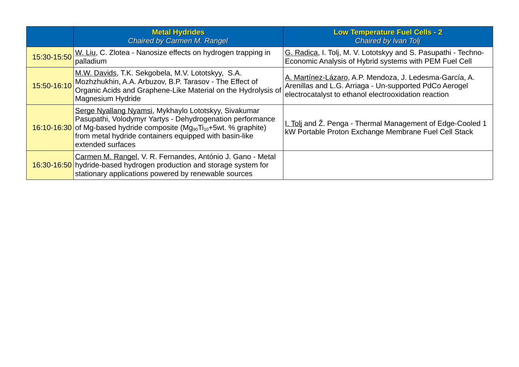| <b>Metal Hydrides</b><br><b>Chaired by Carmen M. Rangel</b>                                                                                                                                                                                                                                          | <b>Low Temperature Fuel Cells - 2</b><br><b>Chaired by Ivan Tolj</b>                                                                                                      |
|------------------------------------------------------------------------------------------------------------------------------------------------------------------------------------------------------------------------------------------------------------------------------------------------------|---------------------------------------------------------------------------------------------------------------------------------------------------------------------------|
| 15:30-15:50 W. Liu, C. Zlotea - Nanosize effects on hydrogen trapping in<br>palladium                                                                                                                                                                                                                | G. Radica, I. Tolj, M. V. Lototskyy and S. Pasupathi - Techno-<br>Economic Analysis of Hybrid systems with PEM Fuel Cell                                                  |
| M.W. Davids, T.K. Sekgobela, M.V. Lototskyy, S.A.<br>15:50-16:10 Mozhzhukhin, A.A. Arbuzov, B.P. Tarasov - The Effect of<br>Organic Acids and Graphene-Like Material on the Hydrolysis of<br>Magnesium Hydride                                                                                       | A. Martínez-Lázaro, A.P. Mendoza, J. Ledesma-García, A.<br>Arenillas and L.G. Arriaga - Un-supported PdCo Aerogel<br>electrocatalyst to ethanol electrooxidation reaction |
| Serge Nyallang Nyamsi, Mykhaylo Lototskyy, Sivakumar<br>Pasupathi, Volodymyr Yartys - Dehydrogenation performance<br>$16:10-16:30$ of Mg-based hydride composite (Mg <sub>90</sub> Ti <sub>10</sub> +5wt. % graphite)<br>from metal hydride containers equipped with basin-like<br>extended surfaces | I. Toli and Ž. Penga - Thermal Management of Edge-Cooled 1<br>kW Portable Proton Exchange Membrane Fuel Cell Stack                                                        |
| Carmen M. Rangel, V. R. Fernandes, António J. Gano - Metal<br>16:30-16:50 hydride-based hydrogen production and storage system for<br>stationary applications powered by renewable sources                                                                                                           |                                                                                                                                                                           |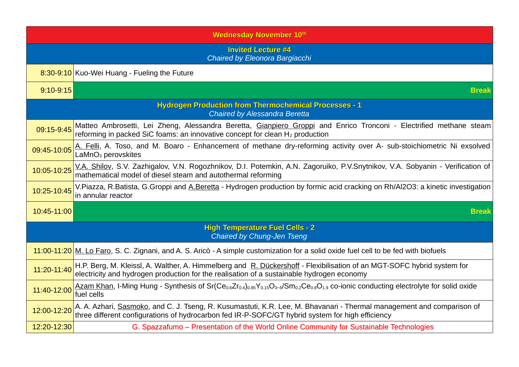| <b>Wednesday November 10th</b>                                              |                                                                                                                                                                                                                           |  |  |  |  |
|-----------------------------------------------------------------------------|---------------------------------------------------------------------------------------------------------------------------------------------------------------------------------------------------------------------------|--|--|--|--|
| <b>Invited Lecture #4</b><br>Chaired by Eleonora Bargiacchi                 |                                                                                                                                                                                                                           |  |  |  |  |
|                                                                             | 8:30-9:10 Kuo-Wei Huang - Fueling the Future                                                                                                                                                                              |  |  |  |  |
| $9:10-9:15$                                                                 | <b>Break</b>                                                                                                                                                                                                              |  |  |  |  |
|                                                                             | <b>Hydrogen Production from Thermochemical Processes - 1</b><br>Chaired by Alessandra Beretta                                                                                                                             |  |  |  |  |
| 09:15-9:45                                                                  | Matteo Ambrosetti, Lei Zheng, Alessandra Beretta, Gianpiero Groppi and Enrico Tronconi - Electrified methane steam<br>reforming in packed SiC foams: an innovative concept for clean $H_2$ production                     |  |  |  |  |
| 09:45-10:05                                                                 | A. Felli, A. Toso, and M. Boaro - Enhancement of methane dry-reforming activity over A- sub-stoichiometric Ni exsolved<br>$LaMnO3$ perovskites                                                                            |  |  |  |  |
| 10:05-10:25                                                                 | V.A. Shilov, S.V. Zazhigalov, V.N. Rogozhnikov, D.I. Potemkin, A.N. Zagoruiko, P.V.Snytnikov, V.A. Sobyanin - Verification of<br>mathematical model of diesel steam and autothermal reforming                             |  |  |  |  |
| 10:25-10:45                                                                 | V.Piazza, R.Batista, G.Groppi and A.Beretta - Hydrogen production by formic acid cracking on Rh/Al2O3: a kinetic investigation<br>in annular reactor                                                                      |  |  |  |  |
| $10:45 - 11:00$                                                             | <b>Break</b>                                                                                                                                                                                                              |  |  |  |  |
| <b>High Temperature Fuel Cells - 2</b><br><b>Chaired by Chung-Jen Tseng</b> |                                                                                                                                                                                                                           |  |  |  |  |
|                                                                             | 11:00-11:20 M. Lo Faro, S. C. Zignani, and A. S. Aricò - A simple customization for a solid oxide fuel cell to be fed with biofuels                                                                                       |  |  |  |  |
| 11:20-11:40                                                                 | H.P. Berg, M. Kleissl, A. Walther, A. Himmelberg and R. Dückershoff - Flexibilisation of an MGT-SOFC hybrid system for<br>electricity and hydrogen production for the realisation of a sustainable hydrogen economy       |  |  |  |  |
| 11:40-12:00                                                                 | Azam Khan, I-Ming Hung - Synthesis of Sr( $Ce_{0.6}Zr_{0.4}$ ) $_{0.85}Y_{0.15}O_{3-5}/Sm_{0.2}Ce_{0.8}O_{1.9}$ co-ionic conducting electrolyte for solid oxide<br>fuel cells                                             |  |  |  |  |
| 12:00-12:20                                                                 | A. A. Azhari, Sasmoko, and C. J. Tseng, R. Kusumastuti, K.R. Lee, M. Bhavanari - Thermal management and comparison of<br>three different configurations of hydrocarbon fed IR-P-SOFC/GT hybrid system for high efficiency |  |  |  |  |
| 12:20-12:30                                                                 | G. Spazzafumo - Presentation of the World Online Community for Sustainable Technologies                                                                                                                                   |  |  |  |  |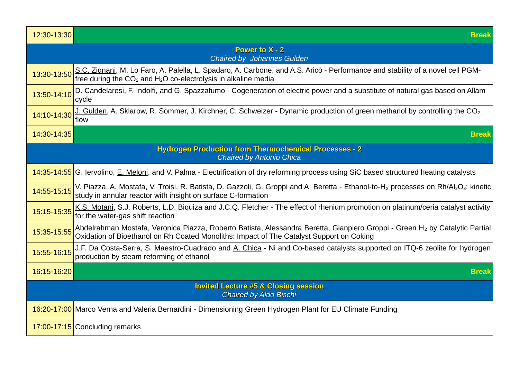| 12:30-13:30 | <b>Break</b>                                                                                                                                                                                                                            |
|-------------|-----------------------------------------------------------------------------------------------------------------------------------------------------------------------------------------------------------------------------------------|
|             | <b>Power to X - 2</b><br><b>Chaired by Johannes Gulden</b>                                                                                                                                                                              |
| 13:30-13:50 | S.C. Zignani, M. Lo Faro, A. Palella, L. Spadaro, A. Carbone, and A.S. Aricò - Performance and stability of a novel cell PGM-<br>free during the $CO2$ and H <sub>2</sub> O co-electrolysis in alkaline media                           |
| 13:50-14:10 | D. Candelaresi, F. Indolfi, and G. Spazzafumo - Cogeneration of electric power and a substitute of natural gas based on Allam<br>cycle                                                                                                  |
| 14:10-14:30 | J. Gulden, A. Sklarow, R. Sommer, J. Kirchner, C. Schweizer - Dynamic production of green methanol by controlling the $CO2$<br>flow                                                                                                     |
| 14:30-14:35 | <b>Break</b>                                                                                                                                                                                                                            |
|             | <b>Hydrogen Production from Thermochemical Processes - 2</b><br><b>Chaired by Antonio Chica</b>                                                                                                                                         |
|             | 14:35-14:55 G. Iervolino, E. Meloni, and V. Palma - Electrification of dry reforming process using SiC based structured heating catalysts                                                                                               |
| 14:55-15:15 | V. Piazza, A. Mostafa, V. Troisi, R. Batista, D. Gazzoli, G. Groppi and A. Beretta - Ethanol-to-H <sub>2</sub> processes on Rh/Al <sub>2</sub> O <sub>3</sub> : kinetic<br>study in annular reactor with insight on surface C-formation |
| 15:15-15:35 | K.S. Motani, S.J. Roberts, L.D. Biquiza and J.C.Q. Fletcher - The effect of rhenium promotion on platinum/ceria catalyst activity<br>for the water-gas shift reaction                                                                   |
| 15:35-15:55 | Abdelrahman Mostafa, Veronica Piazza, Roberto Batista, Alessandra Beretta, Gianpiero Groppi - Green H <sub>2</sub> by Catalytic Partial<br>Oxidation of Bioethanol on Rh Coated Monoliths: Impact of The Catalyst Support on Coking     |
| 15:55-16:15 | J.F. Da Costa-Serra, S. Maestro-Cuadrado and A. Chica - Ni and Co-based catalysts supported on ITQ-6 zeolite for hydrogen<br>production by steam reforming of ethanol                                                                   |
| 16:15-16:20 | <b>Break</b>                                                                                                                                                                                                                            |
|             | <b>Invited Lecture #5 &amp; Closing session</b><br><b>Chaired by Aldo Bischi</b>                                                                                                                                                        |
|             | 16:20-17:00 Marco Verna and Valeria Bernardini - Dimensioning Green Hydrogen Plant for EU Climate Funding                                                                                                                               |
|             | 17:00-17:15 Concluding remarks                                                                                                                                                                                                          |